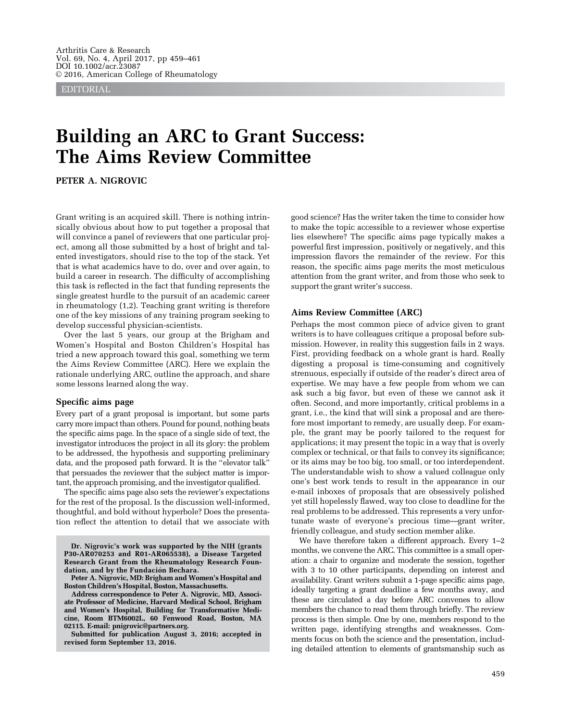EDITORIAL

# Building an ARC to Grant Success: The Aims Review Committee

PETER A. NIGROVIC

Grant writing is an acquired skill. There is nothing intrinsically obvious about how to put together a proposal that will convince a panel of reviewers that one particular project, among all those submitted by a host of bright and talented investigators, should rise to the top of the stack. Yet that is what academics have to do, over and over again, to build a career in research. The difficulty of accomplishing this task is reflected in the fact that funding represents the single greatest hurdle to the pursuit of an academic career in rheumatology (1,2). Teaching grant writing is therefore one of the key missions of any training program seeking to develop successful physician-scientists.

Over the last 5 years, our group at the Brigham and Women's Hospital and Boston Children's Hospital has tried a new approach toward this goal, something we term the Aims Review Committee (ARC). Here we explain the rationale underlying ARC, outline the approach, and share some lessons learned along the way.

#### Specific aims page

Every part of a grant proposal is important, but some parts carry more impact than others. Pound for pound, nothing beats the specific aims page. In the space of a single side of text, the investigator introduces the project in all its glory: the problem to be addressed, the hypothesis and supporting preliminary data, and the proposed path forward. It is the "elevator talk" that persuades the reviewer that the subject matter is important, the approach promising, and the investigator qualified.

The specific aims page also sets the reviewer's expectations for the rest of the proposal. Is the discussion well-informed, thoughtful, and bold without hyperbole? Does the presentation reflect the attention to detail that we associate with

Dr. Nigrovic's work was supported by the NIH (grants P30-AR070253 and R01-AR065538), a Disease Targeted Research Grant from the Rheumatology Research Foundation, and by the Fundación Bechara.

Peter A. Nigrovic, MD: Brigham and Women's Hospital and Boston Children's Hospital, Boston, Massachusetts.

Address correspondence to Peter A. Nigrovic, MD, Associate Professor of Medicine, Harvard Medical School, Brigham and Women's Hospital, Building for Transformative Medicine, Room BTM6002L, 60 Fenwood Road, Boston, MA 02115. E-mail: pnigrovic@partners.org.

Submitted for publication August 3, 2016; accepted in revised form September 13, 2016.

good science? Has the writer taken the time to consider how to make the topic accessible to a reviewer whose expertise lies elsewhere? The specific aims page typically makes a powerful first impression, positively or negatively, and this impression flavors the remainder of the review. For this reason, the specific aims page merits the most meticulous attention from the grant writer, and from those who seek to support the grant writer's success.

#### Aims Review Committee (ARC)

Perhaps the most common piece of advice given to grant writers is to have colleagues critique a proposal before submission. However, in reality this suggestion fails in 2 ways. First, providing feedback on a whole grant is hard. Really digesting a proposal is time-consuming and cognitively strenuous, especially if outside of the reader's direct area of expertise. We may have a few people from whom we can ask such a big favor, but even of these we cannot ask it often. Second, and more importantly, critical problems in a grant, i.e., the kind that will sink a proposal and are therefore most important to remedy, are usually deep. For example, the grant may be poorly tailored to the request for applications; it may present the topic in a way that is overly complex or technical, or that fails to convey its significance; or its aims may be too big, too small, or too interdependent. The understandable wish to show a valued colleague only one's best work tends to result in the appearance in our e-mail inboxes of proposals that are obsessively polished yet still hopelessly flawed, way too close to deadline for the real problems to be addressed. This represents a very unfortunate waste of everyone's precious time—grant writer, friendly colleague, and study section member alike.

We have therefore taken a different approach. Every 1–2 months, we convene the ARC. This committee is a small operation: a chair to organize and moderate the session, together with 3 to 10 other participants, depending on interest and availability. Grant writers submit a 1-page specific aims page, ideally targeting a grant deadline a few months away, and these are circulated a day before ARC convenes to allow members the chance to read them through briefly. The review process is then simple. One by one, members respond to the written page, identifying strengths and weaknesses. Comments focus on both the science and the presentation, including detailed attention to elements of grantsmanship such as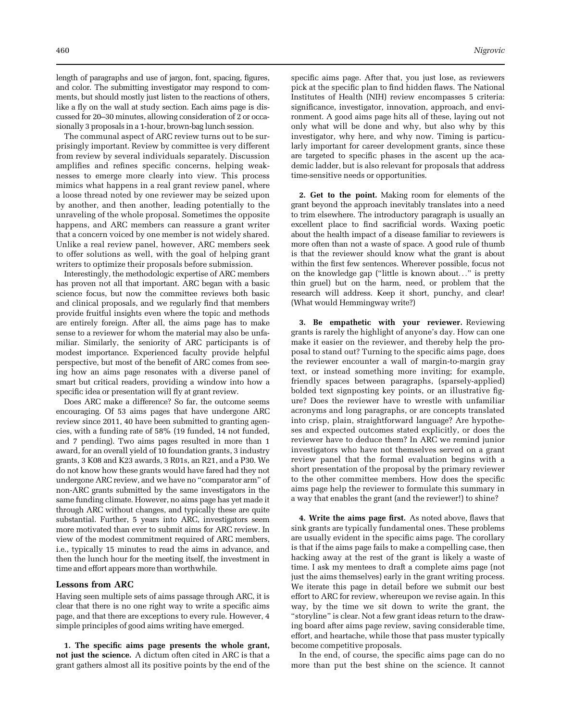length of paragraphs and use of jargon, font, spacing, figures, and color. The submitting investigator may respond to comments, but should mostly just listen to the reactions of others, like a fly on the wall at study section. Each aims page is discussed for 20–30 minutes, allowing consideration of 2 or occasionally 3 proposals in a 1-hour, brown-bag lunch session.

The communal aspect of ARC review turns out to be surprisingly important. Review by committee is very different from review by several individuals separately. Discussion amplifies and refines specific concerns, helping weaknesses to emerge more clearly into view. This process mimics what happens in a real grant review panel, where a loose thread noted by one reviewer may be seized upon by another, and then another, leading potentially to the unraveling of the whole proposal. Sometimes the opposite happens, and ARC members can reassure a grant writer that a concern voiced by one member is not widely shared. Unlike a real review panel, however, ARC members seek to offer solutions as well, with the goal of helping grant writers to optimize their proposals before submission.

Interestingly, the methodologic expertise of ARC members has proven not all that important. ARC began with a basic science focus, but now the committee reviews both basic and clinical proposals, and we regularly find that members provide fruitful insights even where the topic and methods are entirely foreign. After all, the aims page has to make sense to a reviewer for whom the material may also be unfamiliar. Similarly, the seniority of ARC participants is of modest importance. Experienced faculty provide helpful perspective, but most of the benefit of ARC comes from seeing how an aims page resonates with a diverse panel of smart but critical readers, providing a window into how a specific idea or presentation will fly at grant review.

Does ARC make a difference? So far, the outcome seems encouraging. Of 53 aims pages that have undergone ARC review since 2011, 40 have been submitted to granting agencies, with a funding rate of 58% (19 funded, 14 not funded, and 7 pending). Two aims pages resulted in more than 1 award, for an overall yield of 10 foundation grants, 3 industry grants, 3 K08 and K23 awards, 3 R01s, an R21, and a P30. We do not know how these grants would have fared had they not undergone ARC review, and we have no "comparator arm" of non-ARC grants submitted by the same investigators in the same funding climate. However, no aims page has yet made it through ARC without changes, and typically these are quite substantial. Further, 5 years into ARC, investigators seem more motivated than ever to submit aims for ARC review. In view of the modest commitment required of ARC members, i.e., typically 15 minutes to read the aims in advance, and then the lunch hour for the meeting itself, the investment in time and effort appears more than worthwhile.

## Lessons from ARC

Having seen multiple sets of aims passage through ARC, it is clear that there is no one right way to write a specific aims page, and that there are exceptions to every rule. However, 4 simple principles of good aims writing have emerged.

1. The specific aims page presents the whole grant, not just the science. A dictum often cited in ARC is that a grant gathers almost all its positive points by the end of the

specific aims page. After that, you just lose, as reviewers pick at the specific plan to find hidden flaws. The National Institutes of Health (NIH) review encompasses 5 criteria: significance, investigator, innovation, approach, and environment. A good aims page hits all of these, laying out not only what will be done and why, but also why by this investigator, why here, and why now. Timing is particularly important for career development grants, since these are targeted to specific phases in the ascent up the academic ladder, but is also relevant for proposals that address time-sensitive needs or opportunities.

2. Get to the point. Making room for elements of the grant beyond the approach inevitably translates into a need to trim elsewhere. The introductory paragraph is usually an excellent place to find sacrificial words. Waxing poetic about the health impact of a disease familiar to reviewers is more often than not a waste of space. A good rule of thumb is that the reviewer should know what the grant is about within the first few sentences. Wherever possible, focus not on the knowledge gap ("little is known about..." is pretty thin gruel) but on the harm, need, or problem that the research will address. Keep it short, punchy, and clear! (What would Hemmingway write?)

3. Be empathetic with your reviewer. Reviewing grants is rarely the highlight of anyone's day. How can one make it easier on the reviewer, and thereby help the proposal to stand out? Turning to the specific aims page, does the reviewer encounter a wall of margin-to-margin gray text, or instead something more inviting; for example, friendly spaces between paragraphs, (sparsely-applied) bolded text signposting key points, or an illustrative figure? Does the reviewer have to wrestle with unfamiliar acronyms and long paragraphs, or are concepts translated into crisp, plain, straightforward language? Are hypotheses and expected outcomes stated explicitly, or does the reviewer have to deduce them? In ARC we remind junior investigators who have not themselves served on a grant review panel that the formal evaluation begins with a short presentation of the proposal by the primary reviewer to the other committee members. How does the specific aims page help the reviewer to formulate this summary in a way that enables the grant (and the reviewer!) to shine?

4. Write the aims page first. As noted above, flaws that sink grants are typically fundamental ones. These problems are usually evident in the specific aims page. The corollary is that if the aims page fails to make a compelling case, then hacking away at the rest of the grant is likely a waste of time. I ask my mentees to draft a complete aims page (not just the aims themselves) early in the grant writing process. We iterate this page in detail before we submit our best effort to ARC for review, whereupon we revise again. In this way, by the time we sit down to write the grant, the "storyline" is clear. Not a few grant ideas return to the drawing board after aims page review, saving considerable time, effort, and heartache, while those that pass muster typically become competitive proposals.

In the end, of course, the specific aims page can do no more than put the best shine on the science. It cannot